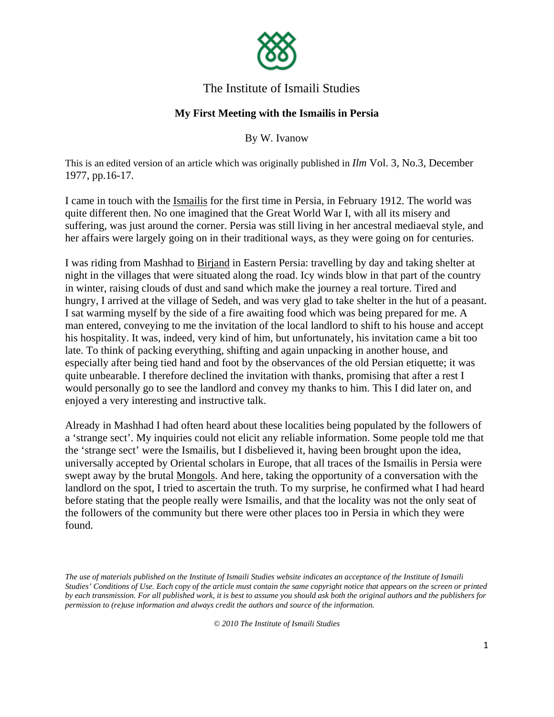

## The Institute of Ismaili Studies

## **My First Meeting with the Ismailis in Persia**

By W. Ivanow

This is an edited version of an article which was originally published in *Ilm* Vol. 3, No.3, December 1977, pp.16-17.

I came in touch with the Ismailis for the first time in Persia, in February 1912. The world was quite different then. No one imagined that the Great World War I, with all its misery and suffering, was just around the corner. Persia was still living in her ancestral mediaeval style, and her affairs were largely going on in their traditional ways, as they were going on for centuries.

I was riding from Mashhad to Birjand in Eastern Persia: travelling by day and taking shelter at night in the villages that were situated along the road. Icy winds blow in that part of the country in winter, raising clouds of dust and sand which make the journey a real torture. Tired and hungry, I arrived at the village of Sedeh, and was very glad to take shelter in the hut of a peasant. I sat warming myself by the side of a fire awaiting food which was being prepared for me. A man entered, conveying to me the invitation of the local landlord to shift to his house and accept his hospitality. It was, indeed, very kind of him, but unfortunately, his invitation came a bit too late. To think of packing everything, shifting and again unpacking in another house, and especially after being tied hand and foot by the observances of the old Persian etiquette; it was quite unbearable. I therefore declined the invitation with thanks, promising that after a rest I would personally go to see the landlord and convey my thanks to him. This I did later on, and enjoyed a very interesting and instructive talk.

Already in Mashhad I had often heard about these localities being populated by the followers of a 'strange sect'. My inquiries could not elicit any reliable information. Some people told me that the 'strange sect' were the Ismailis, but I disbelieved it, having been brought upon the idea, universally accepted by Oriental scholars in Europe, that all traces of the Ismailis in Persia were swept away by the brutal Mongols. And here, taking the opportunity of a conversation with the landlord on the spot, I tried to ascertain the truth. To my surprise, he confirmed what I had heard before stating that the people really were Ismailis, and that the locality was not the only seat of the followers of the community but there were other places too in Persia in which they were found.

*© 2010 The Institute of Ismaili Studies*

*The use of materials published on the Institute of Ismaili Studies website indicates an acceptance of the Institute of Ismaili Studies' Conditions of Use. Each copy of the article must contain the same copyright notice that appears on the screen or printed by each transmission. For all published work, it is best to assume you should ask both the original authors and the publishers for permission to (re)use information and always credit the authors and source of the information.*